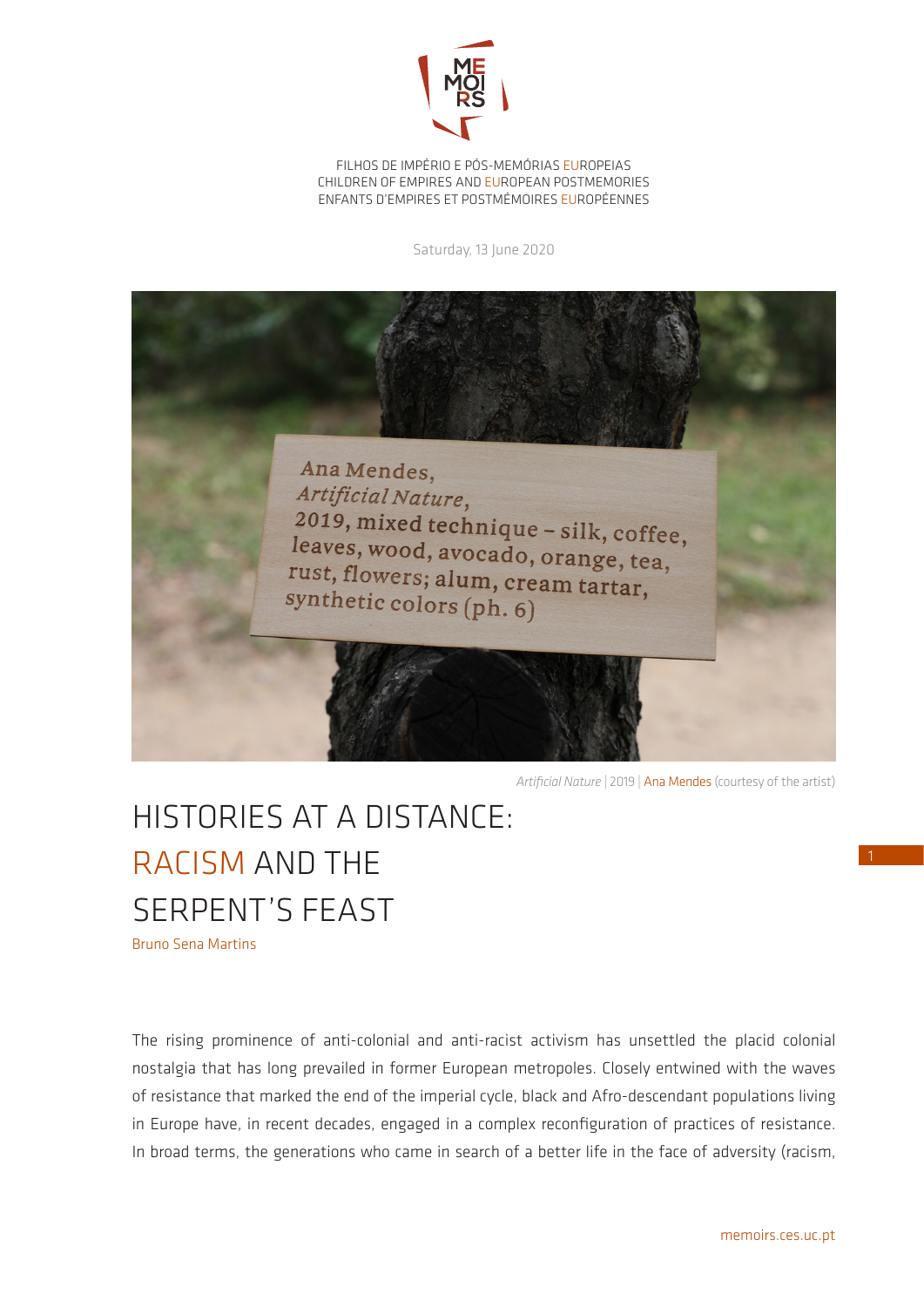

FILHOS DE IMPÉRIO E PÓS-MEMÓRIAS EUROPEIAS CHILDREN OF EMPIRES AND EUROPEAN POSTMEMORIES ENFANTS D'EMPIRES ET POSTMÉMOIRES EUROPÉENNES

Saturday, 13 June 2020



*Artificial Nature* | 2019 | Ana Mendes (courtesy of the artist)

## HISTORIES AT A DISTANCE: RACISM AND THE SERPENT'S FEAST Bruno Sena Martins

The rising prominence of anti-colonial and anti-racist activism has unsettled the placid colonial nostalgia that has long prevailed in former European metropoles. Closely entwined with the waves of resistance that marked the end of the imperial cycle, black and Afro-descendant populations living in Europe have, in recent decades, engaged in a complex reconfiguration of practices of resistance. In broad terms, the generations who came in search of a better life in the face of adversity (racism,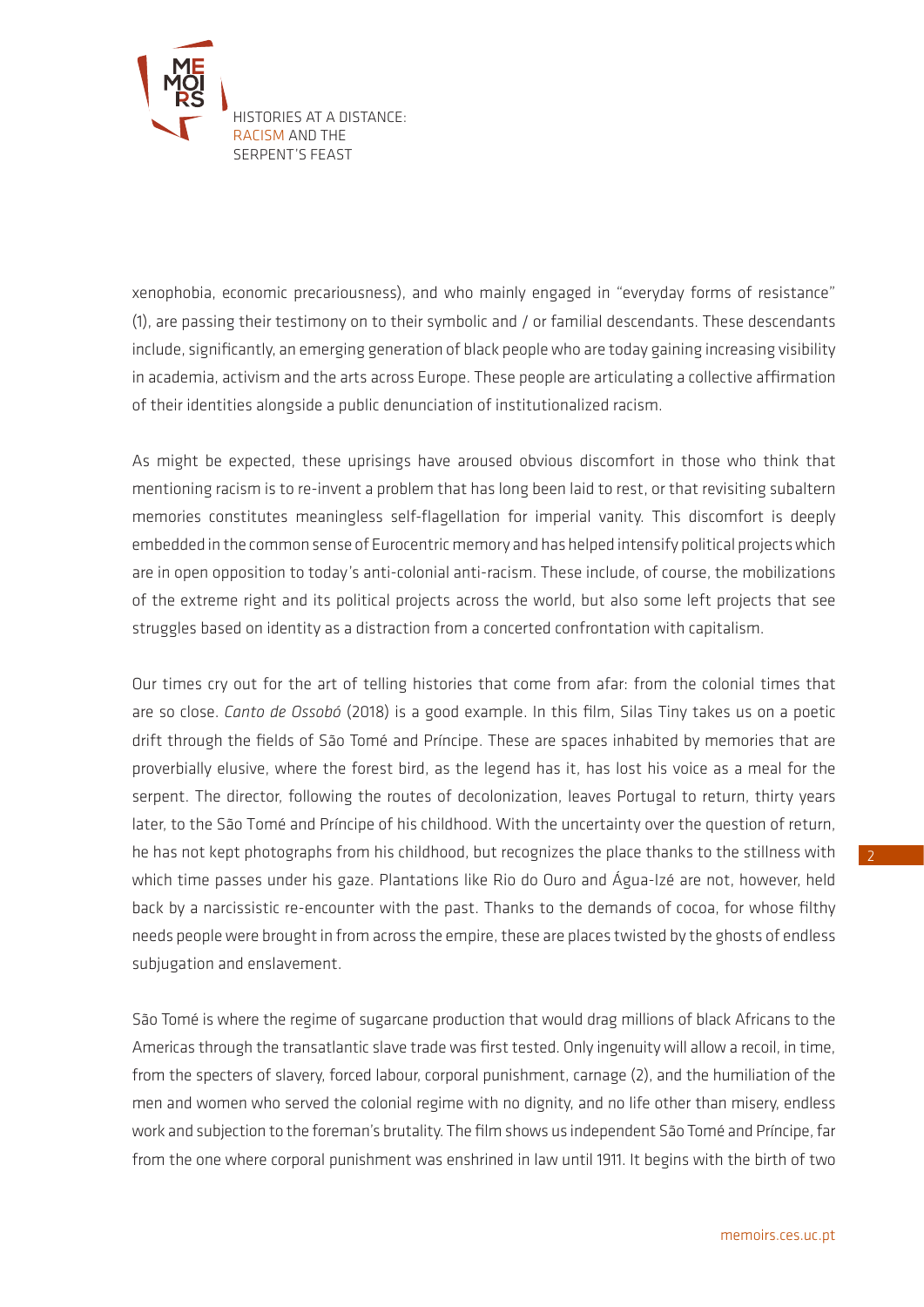

xenophobia, economic precariousness), and who mainly engaged in "everyday forms of resistance" (1), are passing their testimony on to their symbolic and / or familial descendants. These descendants include, significantly, an emerging generation of black people who are today gaining increasing visibility in academia, activism and the arts across Europe. These people are articulating a collective affirmation of their identities alongside a public denunciation of institutionalized racism.

As might be expected, these uprisings have aroused obvious discomfort in those who think that mentioning racism is to re-invent a problem that has long been laid to rest, or that revisiting subaltern memories constitutes meaningless self-flagellation for imperial vanity. This discomfort is deeply embedded in the common sense of Eurocentric memory and has helped intensify political projects which are in open opposition to today's anti-colonial anti-racism. These include, of course, the mobilizations of the extreme right and its political projects across the world, but also some left projects that see struggles based on identity as a distraction from a concerted confrontation with capitalism.

Our times cry out for the art of telling histories that come from afar: from the colonial times that are so close. *Canto de Ossobó* (2018) is a good example. In this film, Silas Tiny takes us on a poetic drift through the fields of São Tomé and Príncipe. These are spaces inhabited by memories that are proverbially elusive, where the forest bird, as the legend has it, has lost his voice as a meal for the serpent. The director, following the routes of decolonization, leaves Portugal to return, thirty years later, to the São Tomé and Príncipe of his childhood. With the uncertainty over the question of return, he has not kept photographs from his childhood, but recognizes the place thanks to the stillness with which time passes under his gaze. Plantations like Rio do Ouro and Água-Izé are not, however, held back by a narcissistic re-encounter with the past. Thanks to the demands of cocoa, for whose filthy needs people were brought in from across the empire, these are places twisted by the ghosts of endless subjugation and enslavement.

São Tomé is where the regime of sugarcane production that would drag millions of black Africans to the Americas through the transatlantic slave trade was first tested. Only ingenuity will allow a recoil, in time, from the specters of slavery, forced labour, corporal punishment, carnage (2), and the humiliation of the men and women who served the colonial regime with no dignity, and no life other than misery, endless work and subjection to the foreman's brutality. The film shows us independent São Tomé and Príncipe, far from the one where corporal punishment was enshrined in law until 1911. It begins with the birth of two